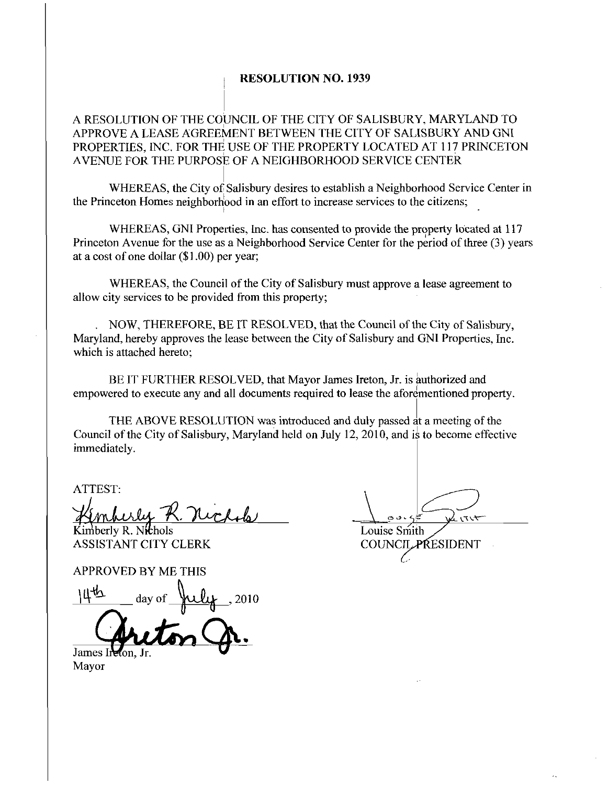## RESOLUTION NO. 1939

A RESOLUTION OF THE COUNCIL OF THE CITY OF SALISBURY MARYLAND FO APPROVE A LEASE AGREEMENT BETWEEN THE CITY OF SALISBURY ANDGNI PROPERTIES, INC. FOR THE USE OF THE PROPERTY LOCATED AT 117 PRINCETON AVENUE FOR THE PURPOSE OF A NEIGHBORHOOD SERVICE CENTER

WHEREAS, the City of Salisbury desires to establish a Neighborhood Service Center in the Princeton Homes neighborhood in an effort to increase services to the citizens;

WHEREAS, GNI Properties, Inc. has consented to provide the property located at 117 Princeton Avenue for the use as a Neighborhood Service Center for the period of three (3) years at a cost of one dollar  $(1.00)$  per year;

WHEREAS, the Council of the City of Salisbury must approve a lease agreement to allow city services to be provided from this property

NOW, THEREFORE, BE IT RESOLVED, that the Council of the City of Salisbury, Maryland, hereby approves the lease between the City of Salisbury and GNI Properties, Inc. which is attached hereto;

BE IT FURTHER RESOLVED, that Mayor James Ireton, Jr. is authorized and empowered to execute any and all documents required to lease the aforementioned property

THE ABOVE RESOLUTION was introduced and duly passed at ameeting of the Council of the City of Salisbury, Maryland held on July 12, 2010, and is to become effective immediately

ATTEST

Kimberly R. Nichols Louise Smith<br>ASSISTANT CITY CLERK COUNCILE ASSISTANT CITY CLERK COUN

Kimberly R. Nichols<br>ASSISTANT CITY CLERI<br>APPROVED BY ME THIS day of  $\mu\mu$ , 2010 APPROVED B<br>
<u>Http</u><br>
da:<br>
James Indion, Jr<br>
Mayor

Mayor

 $\frac{1}{2}$ 

 $\lambda$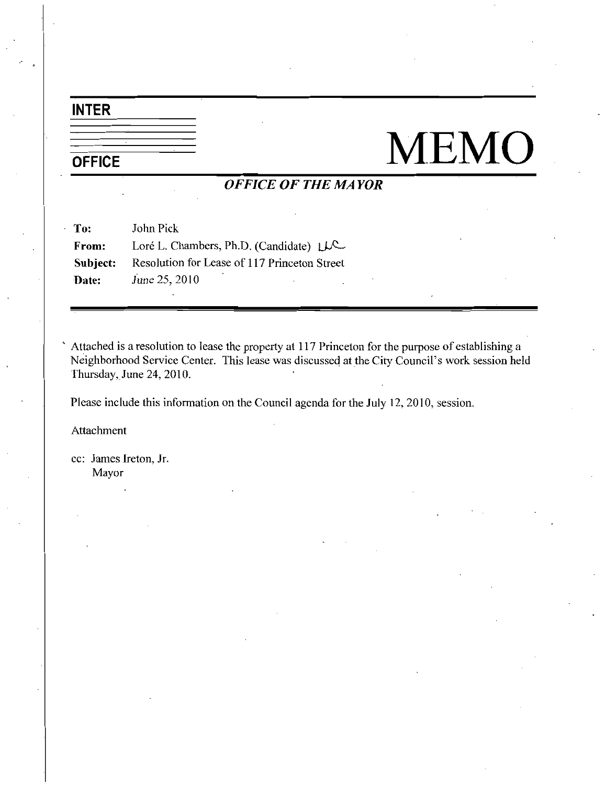## INTER

# OFFICE MEMO

## OFFICE OF THE MAYOR

| To:      | John Pick                                    |
|----------|----------------------------------------------|
| From:    | Loré L. Chambers, Ph.D. (Candidate) $\mu$ C  |
| Subject: | Resolution for Lease of 117 Princeton Street |
| Date:    | June 25, 2010                                |

Attached is a resolution to lease the property at 117 Princeton for the purpose of establishing a Neighborhood Service Center. This lease was discussed at the City Council's work session held Thursday, June 24, 2010.

Please include this information on the Council agenda for the July 12, 2010, session.

Attachment

 $\epsilon_{\rm t}$ 

cc: James Ireton, Jr. Mayor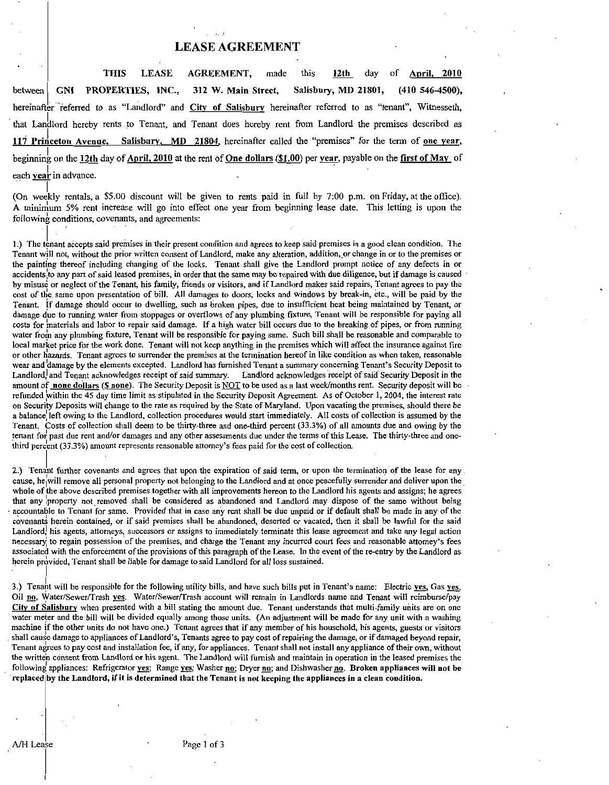## LEASE AGREEMENT

THIS LEASE AGREEMENT made this 12th day of Aoril <sup>2010</sup> between GNI PROPERTIES, INC., 312 W. Main Street, Salisbury, MD 21801, (410 546-4500), hereinafter referred to as "Landlord" and City of Salisbury hereinafter referred to as "tenant", Witnesseth, that Landlord hereby rents to Tenant and Tenant does hereby rent from Landlord the premises described as 117 Princeton Avenue, Salisbury, MD 21804, hereinafter called the "premises" for the term of <u>one year</u>, beginning on the 12th day of April, 2010 at the rent of One dollars (\$1.00) per year, payable on the first of May of each year in advance.

each **year** in advance.<br>
(On weekly rentals, a \$5.00 discount will be given to rents paid in full by 7:00 p.m. on Friday, at the office).<br>
A minimum 5% rent increase will go into effect one year from beginning lease date.  $following$  conditions, covenants, and agreements:

1.) The tenant accepts said premises in their present condition and agrees to keep said premises in a good clean condition. The Tenant will not, without the prior written consent of Landlord, make any alteration, addition, or change in or to the premises or the painting thereof including changing of the locks Tenant shall give the Landlord prompt notice of any defects in or accidents to any part of said leased premises, in order that the same may be repaired with due diligence, but if damage is caused by misuse or neglect of the Tenant, his family, friends or visitors, and if Landlord makes said repairs, Tenant agrees to pay the cost of the same upon presentation of bill. All damages to doors, locks and windows by break-in, etc., will be paid by the Tenant. If damage should occur to dwelling, such as broken pipes, due to insufficient heat being maintained by Tenant, or damage due to running water from stoppages or overflows of any plumbing fixture, Tenant will be responsible for paying all costs for materials and labor to repair said damage. If a high water bill occurs due to the breaking of pipes, or from running water from any plumbing fixture, Tenant will be responsible for paying same. Such bill shall be reasonable and comparable to local market price for the work done. Tenant will not keep anything in the premises which will affect the insurance against fire or other hazards. Tenant agrees to surrender the premises at the termination hereof in like condition as when taken, reasonable wear and damage by the elements excepted. Landlord has furnished Tenant a summary concerning Tenant's Security Deposit to Landlord and Tenant acknowledges receipt of said summary. Landlord acknowledges receipt of said Security Deposit in the Landlord, and Tenant acknowledges receipt of said summary. Landlord acknowledges receipt of said Security Deposit in the<br>amount of none dollars (\$ none). The Security Deposit is NOT to be used as a last week/months rent. S on Security Deposits will change to the rate as required by the State of Maryland. Upon vacating the premises, should there be a balance left owing to the Landlord, collection procedures would start immediately. All costs of collection is assumed by the Tenant. Costs of collection shall deem to be thirty-three and one-third percent (33.3%) of all amounts due and owing by the Tenant. Costs of collection shall deem to be thirty-three and one-third percent (33.3%) of all amounts due and owing by the tenant for past due rent and/or damages and any other assessments due under the terms of this Leas refunded within the 45 day time limit as stipulated in the Security Deposit Agreement. As of Oor Security Deposits will change to the rate as required by the State of Maryland. Upon vacation a balance left owing to the Lan

2.) Tenant further covenants and agrees that upon the expiration of said term, or upon the termination of the lease for any cause, he will remove all personal property not belonging to the Landlord and at once peacefully surrender and deliver upon the whole of the above described premises together with all improvements hereon to the Landlord his agents and assigns; he agrees that any property not removed shall be considered as abandoned and Landlord may dispose of the same without being accountable to Tenant for same. Provided that in case any rent shall be due unpaid or if default shall be made in any of the covenants herein contained, or if said premises shall be abandoned, deserted or vacated, then it shall be lawful for the said Landlord, his agents, attorneys, successors or assigns to immediately terminate this lease agreement and take any legal action necessary to regain possession of the premises, and charge the Tenant any incurred court fees a whole of the above described premises together with all improvements hereon to the Landlord his agents and assigns; he agrees<br>that any property not removed shall be considered as abandoned and Landlord may dispose of the s herein provided, Tenant shall be liable for damage to said Landlord for all loss sustained. 33 Tenant will be responsible for the following utility bills, and have such bills put in Tenant's name: Electric year, Gas Did need in the responsible for the following utility bills, and have such bills put in Tenant's n that any property not removed shall be considered as abandoned and Landlord may dispose of the same without being<br>accountable to Tenant for sme. Provided that in case any rent shall be due unpaid or if default shall to med

Oil no. Water/Sewer/Trash yes. Water/Sewer/Trash account will remain in Landlords name and Tenant will reimburse/pay<br>City of Salisbury when presented with a bill stating the amount due. Tenant understands that multi-family water meter and the bill will be divided equally among those units. (An adjustment will be made for any unit with a washing machine if the other units do not have one.) Tenant agrees that if any member of his household, his agents, guests or visitors shall cause damage to appliances of Landlord's, Tenants agree to pay cost of repairing the dama 3.) Tenant will be responsible for the following utility bills, and have such bills put in Tenant's name: Electric <u>yes</u>, Gas <u>yes</u>. Oil <u>no</u>, Water/Sewer/Trash <u>yes</u>. Water/Sewer/Trash account will remain in Landlords nam Tenant agrees to pay cost and installation fee, if any, for appliances. Tenant shall not install any appliance of their own, without the written consent from Landlord or his agent. The Landlord will furnish and maintain in operation in the leased premises the following appliances: Refrigerator yes; Range yes; Washer no; Dryer no; and Dishwasher no. Broken appliances will not be replaced by the Landlord, if it is determined that the Tenant is not keeping the appliances in a clean condition.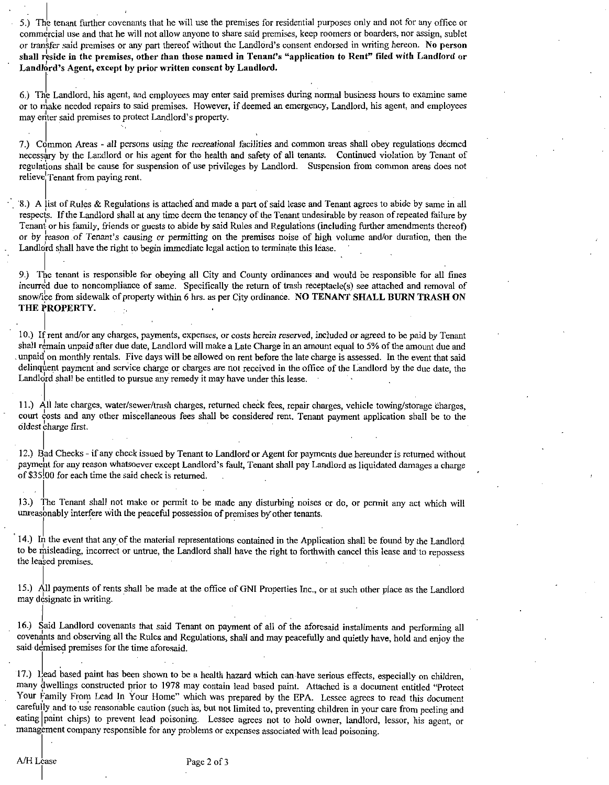<sup>S</sup> <sup>J</sup> The tenant further covenants that he will use the premises for residential purposes only and not for any office or commercial use and that he will not allow anyone to share said premises, keep roomers or boarders, nor assign, sublet 5.) The tenant further covenants that he will use the premises for residential purposes only and not for any office or commercial use and that he will not allow anyone to share said premises, keep roomers or boarders, nor

6.) The Landlord, his agent, and employees may enter said premises during normal business hours to examine same or to make needed repairs to said premises. However, if deemed an emergency, Landlord, his agent, and employees may enter said premises to protect Landlord's property. shall reside in the premises, other than those name<br>Landlord's Agent, except by prior written consent  $\frac{1}{2}$ <br>6.) The Landlord, his agent, and employees may enter<br>or to make needed repairs to said premises. However<br>may

7.) Common Areas - all persons using the recreational facilities and common areas shall obey regulations deemed necessary by the Landlord or his agent for the health and safety of all tenants Continued violation by Tenant of regulations shall be cause for suspension of use privileges by Landlord. Suspension from common areas does not relieve<sup>'</sup> Tenant from paying rent.

8.) A list of Rules & Regulations is attached and made a part of said lease and Tenant agrees to abide by same in all respects. If the Landlord shall at any time deem the tenancy of the Tenant undesirable by reason of repeated failure by Tenant or his family, friends or guests to abide by said Rules and Regulations (including further amendments thereof) 8.) A list of Rules & Regulations is attached and made a part of said lease and Tenant agrees to abide by same in all respects. If the Landlord shall at any time deem the tenancy of the Tenant undesirable by reason of repe Landlord shall have the right to begin immediate legal action to terminate this lease.

9 The tenant is responsible for obeying all City and County ordinances and would be responsible for all fines Tenant or his family, friends or guests to abide by said Rules and Regulations (including further amendments thereof) or by reason of Tenant's causing or permitting on the premises noise of high volume and/or duration, the incurred due to noncompliance of same. Specifically the return of trash receptacle(s) see attached and removal of snow/ice from sidewalk of property within 6 hrs. as per City ordinance. NO TENANT SHALL BURN TRASH ON THE PROPERTY

<sup>10</sup> Ifrent and orany chazges payments expenses orcosts herein reserved included oragreed to be paid by Tenant shall remain unpaid after due date, Landlord will make a Late Charge in an amount equal to 5% of the amount due and unpaid on monthly rentals. Five days will be allowed on rent before the late charge is assessed. In the event that said delinquent payment and service charge or charges are not received in the office of the Landlord by the due date, the Landlord shall be entitled to pursue any remedy it may have under this lease.

11.) All late charges, water/sewer/trash charges, returned check fees, repair charges, vehicle towing/storage charges. court costs and any other miscellaneous fees shall be considered rent. Tenant payment application shall be to the oldest charge first.

12.) Bad Checks - if any check issued by Tenant to Landlord or Agent for payments due hereunder is returned without payment for any reason whatsoever except Landlord's fault, Tenant shall pay Landlord as liquidated damages a charge of \$35.00 for each time the said check is returned.

13.) The Tenant shall not make or permit to be made any disturbing noises or do, or permit any act which will unreasonably interfere with the peaceful possession of premises by other tenants.

14.) In the event that any of the material representations contained in the Application shall be found by the Landlord to be misleading, incorrect or untrue, the Landlord shall have the right to forthwith cancel this lease and to repossess the leased premises.

15.) All payments of rents shall be made at the office of GNI Properties Inc., or at such other place as the Landlord may designate in writing.

16.) Said Landlord covenants that said Tenant on payment of all of the aforesaid installments and performing all covenants and observing all the Rules and Regulations, shall and may peacefully and quietly have, hold and enjoy the said demised premises for the time aforesaid.

17.) Lead based paint has been shown to be a health hazard which can have serious effects, especially on children, many dwellings constructed prior to 1978 may contain lead based paint. Attached is a document entitled "Protect Your Family From Lead In Your Home" which was prepared by the EPA. Lessee agrees to read this document carefully and to use reasonable caution (such as but not limited to preventing children in your care from peeling and to use reasonable caution (such as, but not limited to, preventing children in your care from peeling an carefully and to use reasonable caution (such as, but not limited to, preventing children in your care from peeling and eating paint chips) to prevent lead poisoning. Lessee agrees not to hold owner, landlord, lessor, his management company responsible for any problems or expenses associated with lead poisoning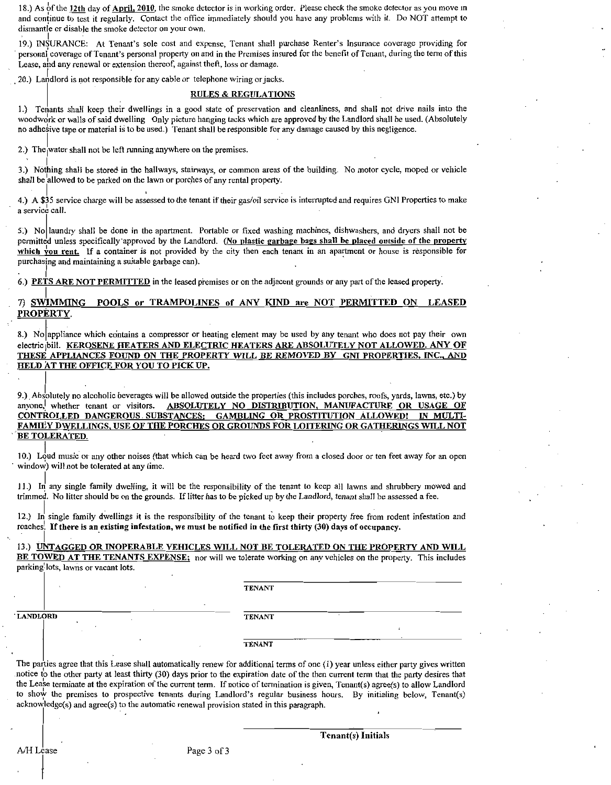18.) As of the 12th day of April, 2010, the smoke detector is in working order. Please check the smoke detector as you move in and continue to test it regularly. Contact the office immediately should you have any problems with it. Do NOT attempt to dismantle or disable the smoke detector on your own. 18.) As of the 12th day of April, 2010, the smoke detector is in working order. Please check the smoke detector as you move in and continue to test it regularly. Contact the office immediately should you have any problems

19.) INSURANCE: At Tenant's sole cost and expense, Tenant shall purchase Renter's Insurance coverage providing for personal continue to test it regularly. Contact the office immediately should you have any problems with it. Do NOT attempt to dismantle or disable the smoke detector on your own.<br>
19.) INSURANCE: At Tenant's sole cost and Lease, and any renewal or extension thereof, against theft, loss or damage.

20.) Landlord is not responsible for any cable or telephone wiring or jacks.

### RULES & REGULATIONS

1.) Tenants shall keep their dwellings in a good state of preservation and cleanliness, and shall not drive nails into the woodwork or walls of said dwelling Only picture hanging tacks which are approved by the Landlord shall be used. (Absolutely no adhesive tape or material is to be used.) Tenant shall be responsible for any damage caused by this negligence.

2.) The water shall not be left running anywhere on the premises

3.) Nothing shall be stored in the hallways, stairways, or common areas of the building. No motor cycle, moped or vehicle shall be allowed to be parked on the lawn or porches of any rental property.

4.) A \$35 service charge will be assessed to the tenant if their gas/oil service is interrupted and requires GNI Properties to make a service call

5.) No laundry shall be done in the apartment. Portable or fixed washing machines, dishwashers, and dryers shall not be permitted unless specifically approved by the Landlord. (No plastic garbage bags shall be placed outside of the property which you rent. If a container is not provided by the city then each tenant in an apartment or house is responsible for purchasing and maintaining <sup>a</sup> suitable garbage can

6.) PETS ARE NOT PERMITTED in the leased premises or on the adjacent grounds or any part of the leased property.

## 7) SWIMMING POOLS or TRAMPOLINES of ANY KIND are NOT PERMITTED ON LEASED PROPERTY.

SHETTED ON TRAMPOLINES OF ANY KIND are NOT PERMITTED ON LEASED<br>
S.) No appliance which contains a compressor or heating element may be used by any tenant who does not pay their own<br>
electric ibill. KEROSENE HEATERS AND ELE 8.) No appliance which contains a compressor or heating element may be used by any tenant who does not pay their ownelectric bill. KEROSENE HEATERS AND ELECTRIC HEATERS ARE ABSOLUTELY NOT ALLOWED. ANY OF THESE APPLIANCES F

**ANVOCED WAT THE OFFICE FOR YOU TO PICK UP.**<br>
4. The solution of alcoholic beverages will be allowed outside the properties (this includes porches, roofs, yards, lawns, etc.) by<br>
2. Absolutely no alcoholic beverages will b BE TOLERATED.

10.) Loud music or any other noises (that which can be heard two feet away from a closed door or ten feet away for an open window) will not be tolerated at any time.

11.) In any single family dwelling, it will be the responsibility of the tenant to keep all lawns and shrubbery mowed and trimmed. No litter should be on the grounds. If litter has to be picked up by the Landlord, tenant shall be assessed a fee.

12 In single family dwellings it is the responsibility of the tenant to keep their property free from rodent infestation and roaches. If there is an existing infestation, we must be notified in the first thirty  $(30)$  days of occupancy.

13.) UNTAGGED OR INOPERABLE VEHICLES WILL NOT BE TOLERATED ON THE PROPERTY AND WILL BE TOWED AT THE TENANTS EXPENSE; nor will we tolerate working on any vehicles on the property. This includes parking lots, lawns or vacant lots.

TENANT

LANDLORD TENANT

TENANT

The parties agree that this Lease shall automatically renew for additional terms of one  $(1)$  year unless either party gives written TENANT<br>The parties agree that this Lease shall automatically renew for additional terms of one (1) year unless either party gives written<br>notice to the other party at least thirty (30) days prior to the expiration date of TENANT<br>The parties agree that this Lease shall automatically renew for additional terms of one (1) year unless either party gives written<br>notice to the other party at least thirty (30) days prior to the expiration date of TENANT<br>The parties agree that this Lease shall automatically renew for additional terms of one (<br>notice to the other party at least thirty (30) days prior to the expiration date of the then<br>the Lease terminate at the expir the Lease terminate at the expiration of the current term. If notice of termination is given, Tenant(s) agree(s) to allow Landlord to show the premises to prospective tenants during Landlord's regular business hours. By in

 $A/H$  Lease Page 3 of 3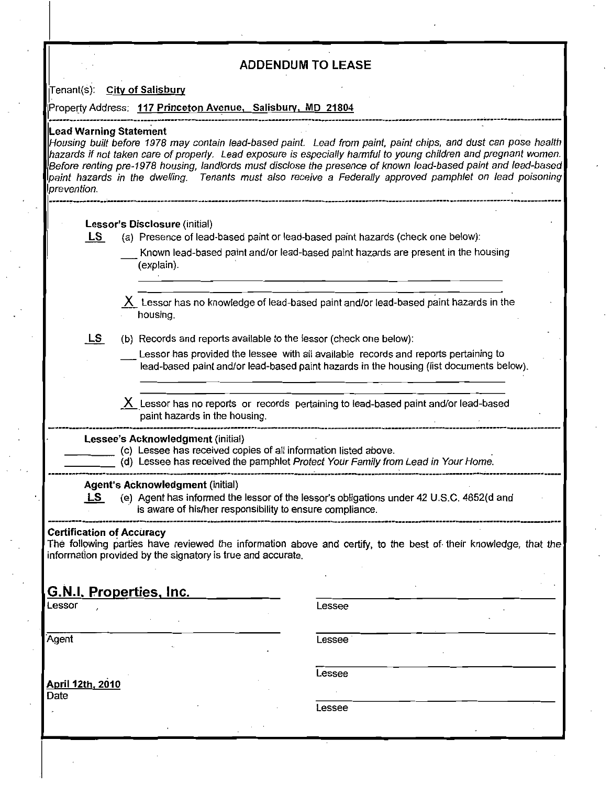## ADDENDUM TO LEASE

Tenant(s): City of Salisbury

Property Address: 117 Princeton Avenue, Salisbury, MD 21804

### **Lead Warning Statement**

Housing built before 1978 may contain lead-based paint. Lead from paint, paint chips, and dust can pose health hazards if not taken care of property. Lead exposure is especially harmful to young children and pregnant women. e renting pre-1978 housing, landlords must disclose the presence of known lead-based paint and pregnant women.<br>The renting pre-1978 housing, landlords must disclose the presence of known lead-based paint and lead-based<br>Laz paint hazards in the dwelling. Tenants must also receive a Federally approved pamphlet on lead poisoning.<br>prevention. menting pre-1978 housing, laited<br>According the dwelling. The discussion of the dwelling of the discussion of the discussion of the discussion of the discussion of the discussion of the discussion of the discussion of the d

- Lessor's Disclosure (initial)<br>
LS (a) Presence of lead-based paint or lead-based paint hazards (check one below):
	- Known lead-based paint and/or lead-based paint hazards are present in the housing explain

Lessor has no knowledge of lead-based paint and/or lead-based paint hazards in the housing

 $LS$  (b) Records and reports available to the lessor (check one below):

Lessor has provided the lessee with all available records and reports pertaining to lead-based paint and/or lead-based paint hazards in the housing (list documents below).

Lessor has no reports or records pertaining to lead-based paint and/or lead-based paint hazards in the housing X<br>
Lessor has no reports<br>
paint hazards in the hour<br>
Lessee's Acknowledgment (initial)<br>
(c) Lessee has received co<br>
(d) Lessee has received the

(d) Lessee has received the pamphlet Protect Your Family from Lead in Your Home.

Collessee Sacknowledgment (initial)<br>
Collessee has received copies of all information listed above.<br>
(d) Lessee has received the pamphlet Protect Your Family from<br>
Agent's Acknowledgment (initial)<br>
<u>LS</u> (e) Agent has infor Lessee's Acknowledgment (initial)<br>
(c) Lessee has received copies of all information listed above.<br>
(d) Lessee has received the pamphlet *Protect Your Family from Lead in Your Home*.<br>
Agent's Acknowledgment (initial)<br>
<u>LS</u> is aware of his/her responsibility to ensure compliance.

## Certification of Accuracy

The following parties have reviewed the information above and certify, to the best of their knowledge, that the information provided by the signatory is true and accurate.

## G.N.I. Properties<u>, Inc.</u>

Lessor de la contradicte de la contradicte de la contradicte de la contradicte de la contradicte de la contradicte de la contradicte de la contradicte de la contradicte de la contradicte de la contradicte de la contradicte

Agent Lessee

Lessee

<u>April 12th, 2010</u>

| ۰. | ___ | v |
|----|-----|---|
|    |     |   |

Lessee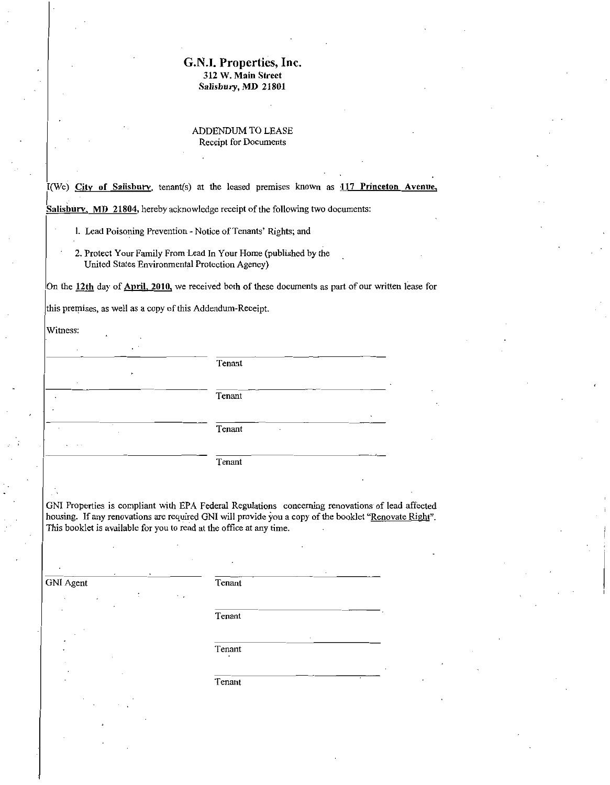# G.N.I. Properties, Inc.<br>312 W. Main Street<br>Salisbury, MD 21801 G.N.I. Properties, Inc.<br>312 W. Main Street Salisbury, MD 21801

### ADDENDUM TO LEASE Receipt for Documents

I(We) City of Salisbury, tenant(s) at the leased premises known as  $117$  Princeton Avenue,

Salisbury, MD 21804, hereby acknowledge receipt of the following two documents:

- 1. Lead Poisoning Prevention Notice of Tenants' Rights; and
- 2. Protect Your Family From Lead In Your Home (published by the United States Environmental Protection Agency)

On the 12th day of April, 2010, we received both of these documents as part of our written lease for

this premises, as well as a copy of this Addendum-Receipt.

| Witness:                              |                  |
|---------------------------------------|------------------|
| ٠<br>$\blacksquare$<br>$\cdot$        | Tenant           |
| ٠                                     | Tenant           |
| $\sim$                                | ٠<br>Tenant<br>٠ |
| $\sim$ $\sim$<br>$\ddot{\phantom{1}}$ | Tenant           |

GNI Properties is compliant with EPA Federal Regulations concerning renovations of lead affected GNI Properties is compliant with EPA Federal Regulations concerning renovations of lead affected<br>housing. If any renovations are required GNI will provide you a copy of the booklet "Renovate Right". This booklet is available for you to read at the office at any time.

GNI Agent Tenant

Tenant

Tenant

Tenant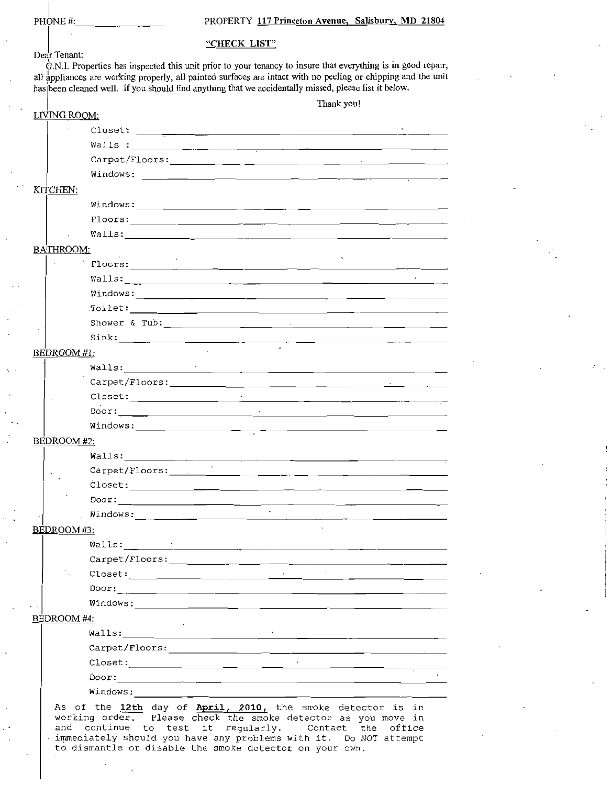## PROPERTY 117 Princeton Avenue, Salisbury, MD 21804

| PHONE#:            |                                                                                                                                                                                                                                                                                                                                                                                                                               |                                   | PROPERTY 117 Princeton Avenue, Salisbury, MD 21804 |                                                                        |  |
|--------------------|-------------------------------------------------------------------------------------------------------------------------------------------------------------------------------------------------------------------------------------------------------------------------------------------------------------------------------------------------------------------------------------------------------------------------------|-----------------------------------|----------------------------------------------------|------------------------------------------------------------------------|--|
|                    |                                                                                                                                                                                                                                                                                                                                                                                                                               | "CHECK LIST"                      |                                                    |                                                                        |  |
| Dear Tenant:       |                                                                                                                                                                                                                                                                                                                                                                                                                               |                                   |                                                    |                                                                        |  |
|                    | G.N.I. Properties has inspected this unit prior to your tenancy to insure that everything is in good repair,<br>all appliances are working properly, all painted surfaces are intact with no peeling or chipping and the unit                                                                                                                                                                                                 |                                   |                                                    |                                                                        |  |
|                    | has been cleaned well. If you should find anything that we accidentally missed, please list it below.                                                                                                                                                                                                                                                                                                                         |                                   |                                                    |                                                                        |  |
|                    |                                                                                                                                                                                                                                                                                                                                                                                                                               |                                   |                                                    | Thank you!                                                             |  |
| LIVING ROOM:       |                                                                                                                                                                                                                                                                                                                                                                                                                               |                                   |                                                    |                                                                        |  |
|                    |                                                                                                                                                                                                                                                                                                                                                                                                                               |                                   |                                                    |                                                                        |  |
|                    |                                                                                                                                                                                                                                                                                                                                                                                                                               |                                   |                                                    |                                                                        |  |
|                    |                                                                                                                                                                                                                                                                                                                                                                                                                               |                                   |                                                    |                                                                        |  |
|                    |                                                                                                                                                                                                                                                                                                                                                                                                                               |                                   |                                                    |                                                                        |  |
| KITCHEN:           |                                                                                                                                                                                                                                                                                                                                                                                                                               |                                   |                                                    |                                                                        |  |
|                    |                                                                                                                                                                                                                                                                                                                                                                                                                               |                                   |                                                    |                                                                        |  |
|                    |                                                                                                                                                                                                                                                                                                                                                                                                                               |                                   |                                                    |                                                                        |  |
|                    |                                                                                                                                                                                                                                                                                                                                                                                                                               |                                   |                                                    |                                                                        |  |
| BATHROOM:          |                                                                                                                                                                                                                                                                                                                                                                                                                               |                                   |                                                    |                                                                        |  |
|                    |                                                                                                                                                                                                                                                                                                                                                                                                                               |                                   |                                                    |                                                                        |  |
|                    |                                                                                                                                                                                                                                                                                                                                                                                                                               |                                   |                                                    |                                                                        |  |
|                    |                                                                                                                                                                                                                                                                                                                                                                                                                               |                                   |                                                    |                                                                        |  |
|                    |                                                                                                                                                                                                                                                                                                                                                                                                                               |                                   |                                                    |                                                                        |  |
|                    |                                                                                                                                                                                                                                                                                                                                                                                                                               |                                   |                                                    |                                                                        |  |
|                    |                                                                                                                                                                                                                                                                                                                                                                                                                               |                                   |                                                    |                                                                        |  |
| BEDROOM #1:        |                                                                                                                                                                                                                                                                                                                                                                                                                               |                                   |                                                    |                                                                        |  |
|                    | Walls: $\qquad \qquad \qquad$                                                                                                                                                                                                                                                                                                                                                                                                 |                                   |                                                    |                                                                        |  |
|                    |                                                                                                                                                                                                                                                                                                                                                                                                                               |                                   |                                                    |                                                                        |  |
|                    |                                                                                                                                                                                                                                                                                                                                                                                                                               |                                   |                                                    |                                                                        |  |
|                    | Door:                                                                                                                                                                                                                                                                                                                                                                                                                         | the control of the control of the |                                                    |                                                                        |  |
|                    |                                                                                                                                                                                                                                                                                                                                                                                                                               |                                   |                                                    |                                                                        |  |
| BEDROOM #2:        |                                                                                                                                                                                                                                                                                                                                                                                                                               |                                   |                                                    |                                                                        |  |
|                    |                                                                                                                                                                                                                                                                                                                                                                                                                               |                                   |                                                    |                                                                        |  |
|                    | Carpet/Floors: 2008 - 2008 - 2008 - 2008 - 2019 - 2019 - 2019 - 2019 - 2019 - 2019 - 2019 - 2019 - 2019 - 201                                                                                                                                                                                                                                                                                                                 |                                   |                                                    |                                                                        |  |
|                    |                                                                                                                                                                                                                                                                                                                                                                                                                               |                                   |                                                    |                                                                        |  |
|                    | Door:                                                                                                                                                                                                                                                                                                                                                                                                                         |                                   | $\sim$                                             |                                                                        |  |
|                    |                                                                                                                                                                                                                                                                                                                                                                                                                               |                                   |                                                    | <u> 1980 - Jan James James Barnett, amerikansk politiker (d. 1980)</u> |  |
| <b>BEDROOM</b> #3: |                                                                                                                                                                                                                                                                                                                                                                                                                               |                                   |                                                    |                                                                        |  |
|                    | Walls: <u>The Communication of the Communication of the Communication of the Communication of the Communication of</u>                                                                                                                                                                                                                                                                                                        |                                   |                                                    |                                                                        |  |
|                    |                                                                                                                                                                                                                                                                                                                                                                                                                               |                                   |                                                    |                                                                        |  |
|                    |                                                                                                                                                                                                                                                                                                                                                                                                                               |                                   |                                                    |                                                                        |  |
|                    |                                                                                                                                                                                                                                                                                                                                                                                                                               |                                   |                                                    |                                                                        |  |
|                    | Windows: <u>windows:</u>                                                                                                                                                                                                                                                                                                                                                                                                      |                                   |                                                    |                                                                        |  |
| BEDROOM #4:        |                                                                                                                                                                                                                                                                                                                                                                                                                               |                                   |                                                    |                                                                        |  |
|                    |                                                                                                                                                                                                                                                                                                                                                                                                                               |                                   |                                                    |                                                                        |  |
|                    |                                                                                                                                                                                                                                                                                                                                                                                                                               |                                   |                                                    |                                                                        |  |
|                    | $\texttt{Close}: \texttt{\texttt{[}} \texttt{[} \texttt{[} \texttt{[} \texttt{[} \texttt{[} \texttt{[} \texttt{[} \texttt{[} \texttt{[} \texttt{[} \texttt{[} \texttt{[} \texttt{[} \texttt{[} \texttt{[} \texttt{[} \texttt{[} \texttt{[} \texttt{[} \texttt{[} \texttt{[} \texttt{[} \texttt{[} \texttt{[} \texttt{[} \texttt{[} \texttt{[} \texttt{[} \texttt{[} \texttt{[} \texttt{[} \texttt{[} \texttt{[} \texttt{[} \$ |                                   |                                                    |                                                                        |  |
|                    |                                                                                                                                                                                                                                                                                                                                                                                                                               |                                   |                                                    |                                                                        |  |
|                    | Windows:                                                                                                                                                                                                                                                                                                                                                                                                                      |                                   |                                                    |                                                                        |  |